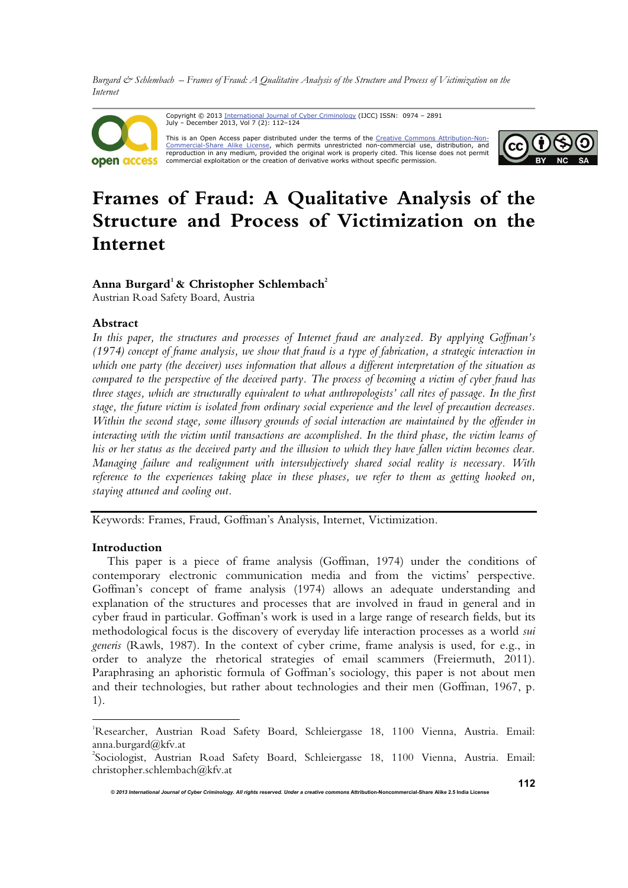



# **Frames of Fraud: A Qualitative Analysis of the Structure and Process of Victimization on the Internet**

## Anna Burgard<sup>1</sup> & Christopher Schlembach<sup>2</sup>

Austrian Road Safety Board, Austria

## **Abstract**

*In this paper, the structures and processes of Internet fraud are analyzed. By applying Goffman's (1974) concept of frame analysis, we show that fraud is a type of fabrication, a strategic interaction in which one party (the deceiver) uses information that allows a different interpretation of the situation as compared to the perspective of the deceived party. The process of becoming a victim of cyber fraud has three stages, which are structurally equivalent to what anthropologists' call rites of passage. In the first stage, the future victim is isolated from ordinary social experience and the level of precaution decreases. Within the second stage, some illusory grounds of social interaction are maintained by the offender in interacting with the victim until transactions are accomplished. In the third phase, the victim learns of his or her status as the deceived party and the illusion to which they have fallen victim becomes clear. Managing failure and realignment with intersubjectively shared social reality is necessary. With reference to the experiences taking place in these phases, we refer to them as getting hooked on, staying attuned and cooling out.* 

Keywords: Frames, Fraud, Goffman's Analysis, Internet, Victimization.

### **Introduction**

 $\overline{a}$ 

This paper is a piece of frame analysis (Goffman, 1974) under the conditions of contemporary electronic communication media and from the victims' perspective. Goffman's concept of frame analysis (1974) allows an adequate understanding and explanation of the structures and processes that are involved in fraud in general and in cyber fraud in particular. Goffman's work is used in a large range of research fields, but its methodological focus is the discovery of everyday life interaction processes as a world *sui generis* (Rawls, 1987). In the context of cyber crime, frame analysis is used, for e.g., in order to analyze the rhetorical strategies of email scammers (Freiermuth, 2011). Paraphrasing an aphoristic formula of Goffman's sociology, this paper is not about men and their technologies, but rather about technologies and their men (Goffman, 1967, p. 1).

<sup>&</sup>lt;sup>1</sup>Researcher, Austrian Road Safety Board, Schleiergasse 18, 1100 Vienna, Austria. Email: anna.burgard@kfv.at

<sup>2</sup> Sociologist, Austrian Road Safety Board, Schleiergasse 18, 1100 Vienna, Austria. Email: christopher.schlembach@kfv.at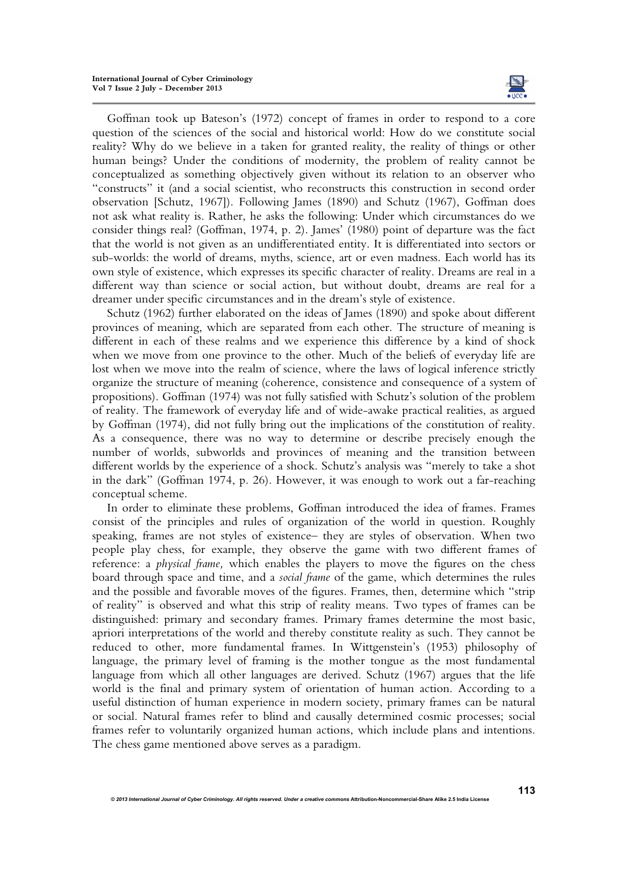

Goffman took up Bateson's (1972) concept of frames in order to respond to a core question of the sciences of the social and historical world: How do we constitute social reality? Why do we believe in a taken for granted reality, the reality of things or other human beings? Under the conditions of modernity, the problem of reality cannot be conceptualized as something objectively given without its relation to an observer who "constructs" it (and a social scientist, who reconstructs this construction in second order observation [Schutz, 1967]). Following James (1890) and Schutz (1967), Goffman does not ask what reality is. Rather, he asks the following: Under which circumstances do we consider things real? (Goffman, 1974, p. 2). James' (1980) point of departure was the fact that the world is not given as an undifferentiated entity. It is differentiated into sectors or sub-worlds: the world of dreams, myths, science, art or even madness. Each world has its own style of existence, which expresses its specific character of reality. Dreams are real in a different way than science or social action, but without doubt, dreams are real for a dreamer under specific circumstances and in the dream's style of existence.

Schutz (1962) further elaborated on the ideas of James (1890) and spoke about different provinces of meaning, which are separated from each other. The structure of meaning is different in each of these realms and we experience this difference by a kind of shock when we move from one province to the other. Much of the beliefs of everyday life are lost when we move into the realm of science, where the laws of logical inference strictly organize the structure of meaning (coherence, consistence and consequence of a system of propositions). Goffman (1974) was not fully satisfied with Schutz's solution of the problem of reality. The framework of everyday life and of wide-awake practical realities, as argued by Goffman (1974), did not fully bring out the implications of the constitution of reality. As a consequence, there was no way to determine or describe precisely enough the number of worlds, subworlds and provinces of meaning and the transition between different worlds by the experience of a shock. Schutz's analysis was "merely to take a shot in the dark" (Goffman 1974, p. 26). However, it was enough to work out a far-reaching conceptual scheme.

In order to eliminate these problems, Goffman introduced the idea of frames. Frames consist of the principles and rules of organization of the world in question. Roughly speaking, frames are not styles of existence– they are styles of observation. When two people play chess, for example, they observe the game with two different frames of reference: a *physical frame,* which enables the players to move the figures on the chess board through space and time, and a *social frame* of the game, which determines the rules and the possible and favorable moves of the figures. Frames, then, determine which "strip of reality" is observed and what this strip of reality means. Two types of frames can be distinguished: primary and secondary frames. Primary frames determine the most basic, apriori interpretations of the world and thereby constitute reality as such. They cannot be reduced to other, more fundamental frames. In Wittgenstein's (1953) philosophy of language, the primary level of framing is the mother tongue as the most fundamental language from which all other languages are derived. Schutz (1967) argues that the life world is the final and primary system of orientation of human action. According to a useful distinction of human experience in modern society, primary frames can be natural or social. Natural frames refer to blind and causally determined cosmic processes; social frames refer to voluntarily organized human actions, which include plans and intentions. The chess game mentioned above serves as a paradigm.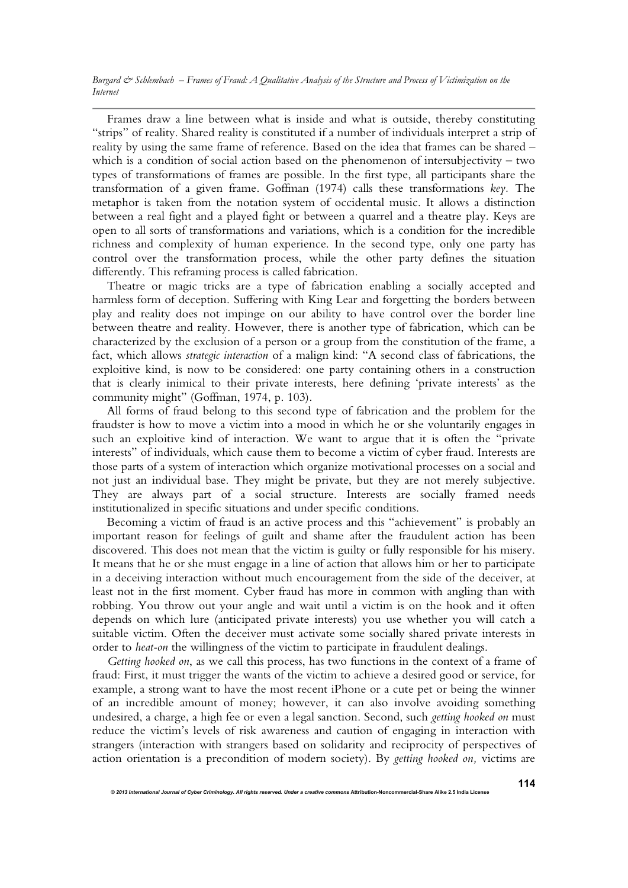Frames draw a line between what is inside and what is outside, thereby constituting "strips" of reality. Shared reality is constituted if a number of individuals interpret a strip of reality by using the same frame of reference. Based on the idea that frames can be shared – which is a condition of social action based on the phenomenon of intersubjectivity – two types of transformations of frames are possible. In the first type, all participants share the transformation of a given frame. Goffman (1974) calls these transformations *key.* The metaphor is taken from the notation system of occidental music. It allows a distinction between a real fight and a played fight or between a quarrel and a theatre play. Keys are open to all sorts of transformations and variations, which is a condition for the incredible richness and complexity of human experience. In the second type, only one party has control over the transformation process, while the other party defines the situation differently. This reframing process is called fabrication.

Theatre or magic tricks are a type of fabrication enabling a socially accepted and harmless form of deception. Suffering with King Lear and forgetting the borders between play and reality does not impinge on our ability to have control over the border line between theatre and reality. However, there is another type of fabrication, which can be characterized by the exclusion of a person or a group from the constitution of the frame, a fact, which allows *strategic interaction* of a malign kind: "A second class of fabrications, the exploitive kind, is now to be considered: one party containing others in a construction that is clearly inimical to their private interests, here defining 'private interests' as the community might" (Goffman, 1974, p. 103).

All forms of fraud belong to this second type of fabrication and the problem for the fraudster is how to move a victim into a mood in which he or she voluntarily engages in such an exploitive kind of interaction. We want to argue that it is often the "private interests" of individuals, which cause them to become a victim of cyber fraud. Interests are those parts of a system of interaction which organize motivational processes on a social and not just an individual base. They might be private, but they are not merely subjective. They are always part of a social structure. Interests are socially framed needs institutionalized in specific situations and under specific conditions.

Becoming a victim of fraud is an active process and this "achievement" is probably an important reason for feelings of guilt and shame after the fraudulent action has been discovered. This does not mean that the victim is guilty or fully responsible for his misery. It means that he or she must engage in a line of action that allows him or her to participate in a deceiving interaction without much encouragement from the side of the deceiver, at least not in the first moment. Cyber fraud has more in common with angling than with robbing. You throw out your angle and wait until a victim is on the hook and it often depends on which lure (anticipated private interests) you use whether you will catch a suitable victim. Often the deceiver must activate some socially shared private interests in order to *heat-on* the willingness of the victim to participate in fraudulent dealings.

*Getting hooked on*, as we call this process, has two functions in the context of a frame of fraud: First, it must trigger the wants of the victim to achieve a desired good or service, for example, a strong want to have the most recent iPhone or a cute pet or being the winner of an incredible amount of money; however, it can also involve avoiding something undesired, a charge, a high fee or even a legal sanction. Second, such *getting hooked on* must reduce the victim's levels of risk awareness and caution of engaging in interaction with strangers (interaction with strangers based on solidarity and reciprocity of perspectives of action orientation is a precondition of modern society). By *getting hooked on,* victims are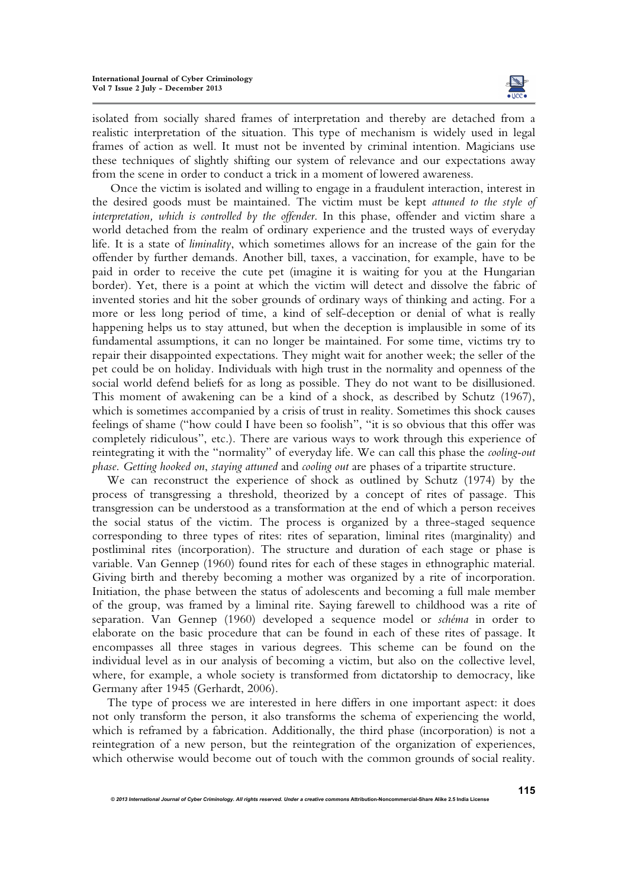

isolated from socially shared frames of interpretation and thereby are detached from a realistic interpretation of the situation. This type of mechanism is widely used in legal frames of action as well. It must not be invented by criminal intention. Magicians use these techniques of slightly shifting our system of relevance and our expectations away from the scene in order to conduct a trick in a moment of lowered awareness.

 Once the victim is isolated and willing to engage in a fraudulent interaction, interest in the desired goods must be maintained. The victim must be kept *attuned to the style of interpretation, which is controlled by the offender*. In this phase, offender and victim share a world detached from the realm of ordinary experience and the trusted ways of everyday life. It is a state of *liminality*, which sometimes allows for an increase of the gain for the offender by further demands. Another bill, taxes, a vaccination, for example, have to be paid in order to receive the cute pet (imagine it is waiting for you at the Hungarian border). Yet, there is a point at which the victim will detect and dissolve the fabric of invented stories and hit the sober grounds of ordinary ways of thinking and acting. For a more or less long period of time, a kind of self-deception or denial of what is really happening helps us to stay attuned, but when the deception is implausible in some of its fundamental assumptions, it can no longer be maintained. For some time, victims try to repair their disappointed expectations. They might wait for another week; the seller of the pet could be on holiday. Individuals with high trust in the normality and openness of the social world defend beliefs for as long as possible. They do not want to be disillusioned. This moment of awakening can be a kind of a shock, as described by Schutz (1967), which is sometimes accompanied by a crisis of trust in reality. Sometimes this shock causes feelings of shame ("how could I have been so foolish", "it is so obvious that this offer was completely ridiculous", etc.). There are various ways to work through this experience of reintegrating it with the "normality" of everyday life. We can call this phase the *cooling-out phase*. *Getting hooked on*, *staying attuned* and *cooling out* are phases of a tripartite structure.

We can reconstruct the experience of shock as outlined by Schutz (1974) by the process of transgressing a threshold, theorized by a concept of rites of passage. This transgression can be understood as a transformation at the end of which a person receives the social status of the victim. The process is organized by a three-staged sequence corresponding to three types of rites: rites of separation, liminal rites (marginality) and postliminal rites (incorporation). The structure and duration of each stage or phase is variable. Van Gennep (1960) found rites for each of these stages in ethnographic material. Giving birth and thereby becoming a mother was organized by a rite of incorporation. Initiation, the phase between the status of adolescents and becoming a full male member of the group, was framed by a liminal rite. Saying farewell to childhood was a rite of separation. Van Gennep (1960) developed a sequence model or *schéma* in order to elaborate on the basic procedure that can be found in each of these rites of passage. It encompasses all three stages in various degrees. This scheme can be found on the individual level as in our analysis of becoming a victim, but also on the collective level, where, for example, a whole society is transformed from dictatorship to democracy, like Germany after 1945 (Gerhardt, 2006).

The type of process we are interested in here differs in one important aspect: it does not only transform the person, it also transforms the schema of experiencing the world, which is reframed by a fabrication. Additionally, the third phase (incorporation) is not a reintegration of a new person, but the reintegration of the organization of experiences, which otherwise would become out of touch with the common grounds of social reality.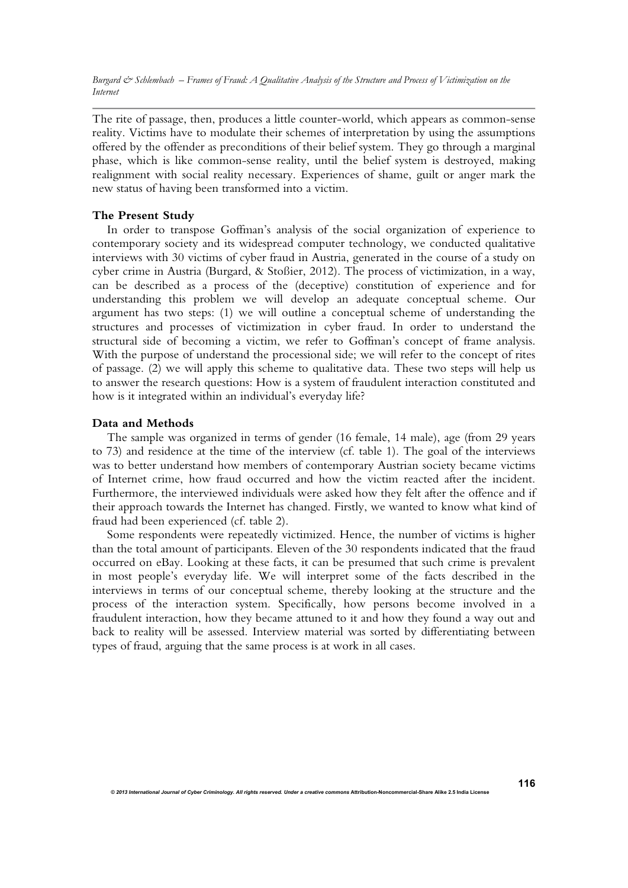The rite of passage, then, produces a little counter-world, which appears as common-sense reality. Victims have to modulate their schemes of interpretation by using the assumptions offered by the offender as preconditions of their belief system. They go through a marginal phase, which is like common-sense reality, until the belief system is destroyed, making realignment with social reality necessary. Experiences of shame, guilt or anger mark the new status of having been transformed into a victim.

### **The Present Study**

In order to transpose Goffman's analysis of the social organization of experience to contemporary society and its widespread computer technology, we conducted qualitative interviews with 30 victims of cyber fraud in Austria, generated in the course of a study on cyber crime in Austria (Burgard, & Stoßier, 2012). The process of victimization, in a way, can be described as a process of the (deceptive) constitution of experience and for understanding this problem we will develop an adequate conceptual scheme. Our argument has two steps: (1) we will outline a conceptual scheme of understanding the structures and processes of victimization in cyber fraud. In order to understand the structural side of becoming a victim, we refer to Goffman's concept of frame analysis. With the purpose of understand the processional side; we will refer to the concept of rites of passage. (2) we will apply this scheme to qualitative data. These two steps will help us to answer the research questions: How is a system of fraudulent interaction constituted and how is it integrated within an individual's everyday life?

### **Data and Methods**

The sample was organized in terms of gender (16 female, 14 male), age (from 29 years to 73) and residence at the time of the interview (cf. table 1). The goal of the interviews was to better understand how members of contemporary Austrian society became victims of Internet crime, how fraud occurred and how the victim reacted after the incident. Furthermore, the interviewed individuals were asked how they felt after the offence and if their approach towards the Internet has changed. Firstly, we wanted to know what kind of fraud had been experienced (cf. table 2).

Some respondents were repeatedly victimized. Hence, the number of victims is higher than the total amount of participants. Eleven of the 30 respondents indicated that the fraud occurred on eBay. Looking at these facts, it can be presumed that such crime is prevalent in most people's everyday life. We will interpret some of the facts described in the interviews in terms of our conceptual scheme, thereby looking at the structure and the process of the interaction system. Specifically, how persons become involved in a fraudulent interaction, how they became attuned to it and how they found a way out and back to reality will be assessed. Interview material was sorted by differentiating between types of fraud, arguing that the same process is at work in all cases.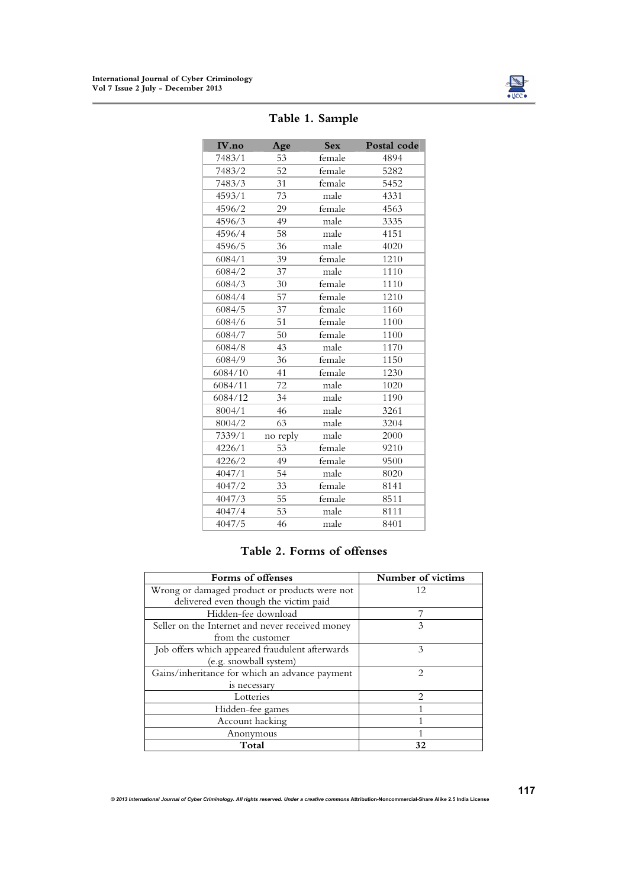

| IV.no   | Age      | <b>Sex</b> | Postal code |
|---------|----------|------------|-------------|
| 7483/1  | 53       | female     | 4894        |
| 7483/2  | 52       | female     | 5282        |
| 7483/3  | 31       | female     | 5452        |
| 4593/1  | 73       | male       | 4331        |
| 4596/2  | 29       | female     | 4563        |
| 4596/3  | 49       | male       | 3335        |
| 4596/4  | 58       | male       | 4151        |
| 4596/5  | 36       | male       | 4020        |
| 6084/1  | 39       | female     | 1210        |
| 6084/2  | 37       | male       | 1110        |
| 6084/3  | 30       | female     | 1110        |
| 6084/4  | 57       | female     | 1210        |
| 6084/5  | 37       | female     | 1160        |
| 6084/6  | 51       | female     | 1100        |
| 6084/7  | 50       | female     | 1100        |
| 6084/8  | 43       | male       | 1170        |
| 6084/9  | 36       | female     | 1150        |
| 6084/10 | 41       | female     | 1230        |
| 6084/11 | 72       | male       | 1020        |
| 6084/12 | 34       | male       | 1190        |
| 8004/1  | 46       | male       | 3261        |
| 8004/2  | 63       | male       | 3204        |
| 7339/1  | no reply | male       | 2000        |
| 4226/1  | 53       | female     | 9210        |
| 4226/2  | 49       | female     | 9500        |
| 4047/1  | 54       | male       | 8020        |
| 4047/2  | 33       | female     | 8141        |
| 4047/3  | 55       | female     | 8511        |
| 4047/4  | 53       | male       | 8111        |
| 4047/5  | 46       | male       | 8401        |

# **Table 1. Sample**

# **Table 2. Forms of offenses**

| Forms of offenses                               | Number of victims           |
|-------------------------------------------------|-----------------------------|
| Wrong or damaged product or products were not   | 12                          |
| delivered even though the victim paid           |                             |
| Hidden-fee download                             |                             |
| Seller on the Internet and never received money | $\mathcal{E}$               |
| from the customer                               |                             |
| Job offers which appeared fraudulent afterwards | 3                           |
| (e.g. snowball system)                          |                             |
| Gains/inheritance for which an advance payment  | $\mathfrak{D}$              |
| is necessary                                    |                             |
| Lotteries                                       | $\mathcal{D}_{\mathcal{A}}$ |
| Hidden-fee games                                |                             |
| Account hacking                                 |                             |
| Anonymous                                       |                             |
| Total                                           | 32                          |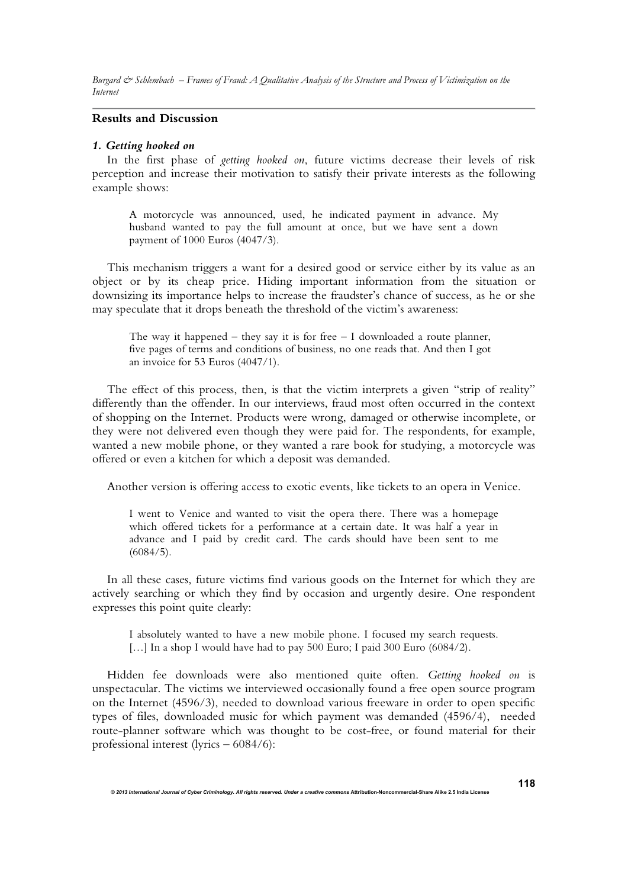### **Results and Discussion**

# *1. Getting hooked on*

In the first phase of *getting hooked on*, future victims decrease their levels of risk perception and increase their motivation to satisfy their private interests as the following example shows:

A motorcycle was announced, used, he indicated payment in advance. My husband wanted to pay the full amount at once, but we have sent a down payment of 1000 Euros (4047/3).

This mechanism triggers a want for a desired good or service either by its value as an object or by its cheap price. Hiding important information from the situation or downsizing its importance helps to increase the fraudster's chance of success, as he or she may speculate that it drops beneath the threshold of the victim's awareness:

The way it happened – they say it is for free  $-1$  downloaded a route planner, five pages of terms and conditions of business, no one reads that. And then I got an invoice for 53 Euros (4047/1).

The effect of this process, then, is that the victim interprets a given "strip of reality" differently than the offender. In our interviews, fraud most often occurred in the context of shopping on the Internet. Products were wrong, damaged or otherwise incomplete, or they were not delivered even though they were paid for. The respondents, for example, wanted a new mobile phone, or they wanted a rare book for studying, a motorcycle was offered or even a kitchen for which a deposit was demanded.

Another version is offering access to exotic events, like tickets to an opera in Venice.

I went to Venice and wanted to visit the opera there. There was a homepage which offered tickets for a performance at a certain date. It was half a year in advance and I paid by credit card. The cards should have been sent to me (6084/5).

In all these cases, future victims find various goods on the Internet for which they are actively searching or which they find by occasion and urgently desire. One respondent expresses this point quite clearly:

I absolutely wanted to have a new mobile phone. I focused my search requests. [...] In a shop I would have had to pay 500 Euro; I paid 300 Euro (6084/2).

Hidden fee downloads were also mentioned quite often. *Getting hooked on* is unspectacular. The victims we interviewed occasionally found a free open source program on the Internet (4596/3), needed to download various freeware in order to open specific types of files, downloaded music for which payment was demanded (4596/4), needed route-planner software which was thought to be cost-free, or found material for their professional interest (lyrics – 6084/6):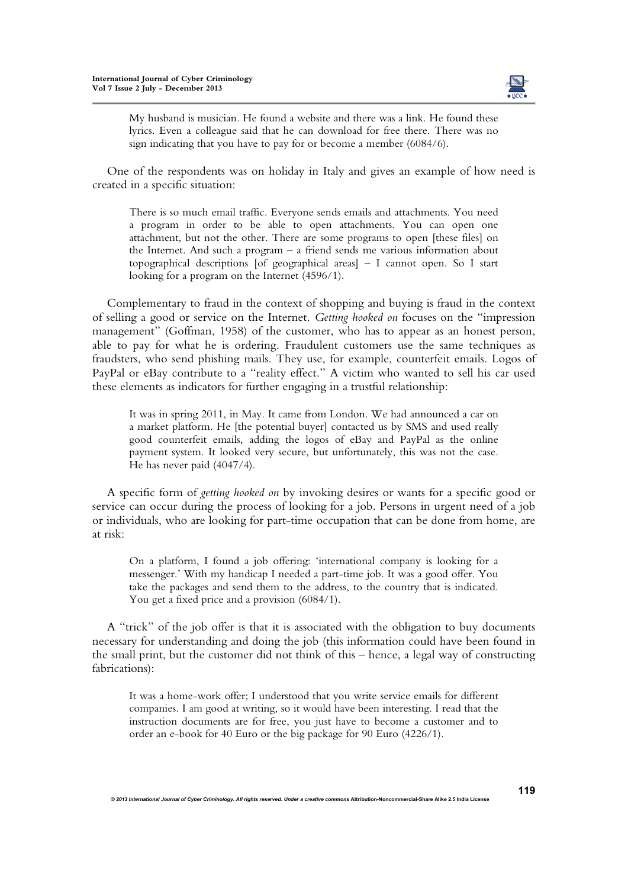

My husband is musician. He found a website and there was a link. He found these lyrics. Even a colleague said that he can download for free there. There was no sign indicating that you have to pay for or become a member (6084/6).

One of the respondents was on holiday in Italy and gives an example of how need is created in a specific situation:

There is so much email traffic. Everyone sends emails and attachments. You need a program in order to be able to open attachments. You can open one attachment, but not the other. There are some programs to open [these files] on the Internet. And such a program – a friend sends me various information about topographical descriptions [of geographical areas] – I cannot open. So I start looking for a program on the Internet (4596/1).

Complementary to fraud in the context of shopping and buying is fraud in the context of selling a good or service on the Internet. *Getting hooked on* focuses on the "impression management" (Goffman, 1958) of the customer, who has to appear as an honest person, able to pay for what he is ordering. Fraudulent customers use the same techniques as fraudsters, who send phishing mails. They use, for example, counterfeit emails. Logos of PayPal or eBay contribute to a "reality effect." A victim who wanted to sell his car used these elements as indicators for further engaging in a trustful relationship:

It was in spring 2011, in May. It came from London. We had announced a car on a market platform. He [the potential buyer] contacted us by SMS and used really good counterfeit emails, adding the logos of eBay and PayPal as the online payment system. It looked very secure, but unfortunately, this was not the case. He has never paid (4047/4).

A specific form of *getting hooked on* by invoking desires or wants for a specific good or service can occur during the process of looking for a job. Persons in urgent need of a job or individuals, who are looking for part-time occupation that can be done from home, are at risk:

On a platform, I found a job offering: 'international company is looking for a messenger.' With my handicap I needed a part-time job. It was a good offer. You take the packages and send them to the address, to the country that is indicated. You get a fixed price and a provision (6084/1).

A "trick" of the job offer is that it is associated with the obligation to buy documents necessary for understanding and doing the job (this information could have been found in the small print, but the customer did not think of this – hence, a legal way of constructing fabrications):

It was a home-work offer; I understood that you write service emails for different companies. I am good at writing, so it would have been interesting. I read that the instruction documents are for free, you just have to become a customer and to order an e-book for 40 Euro or the big package for 90 Euro (4226/1).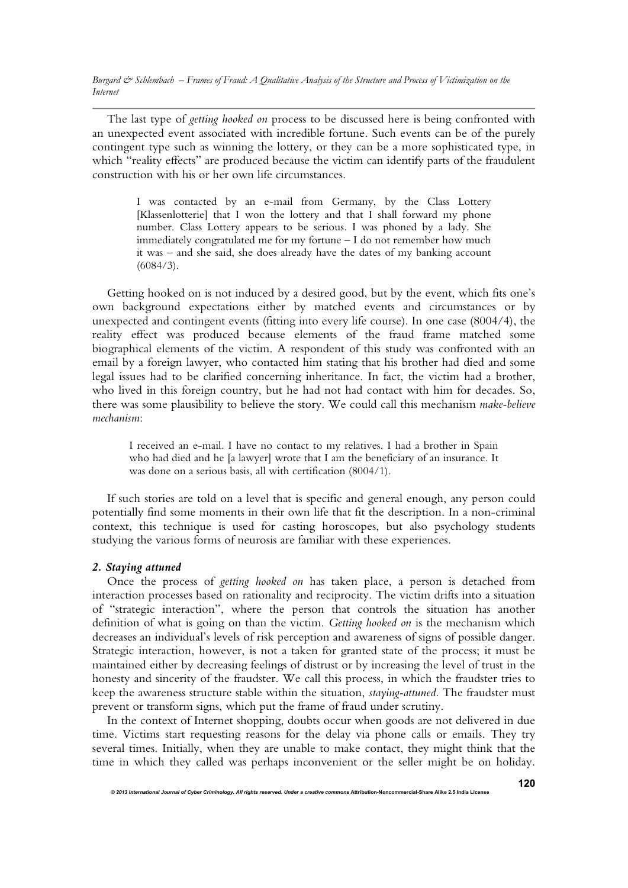The last type of *getting hooked on* process to be discussed here is being confronted with an unexpected event associated with incredible fortune. Such events can be of the purely contingent type such as winning the lottery, or they can be a more sophisticated type, in which "reality effects" are produced because the victim can identify parts of the fraudulent construction with his or her own life circumstances.

I was contacted by an e-mail from Germany, by the Class Lottery [Klassenlotterie] that I won the lottery and that I shall forward my phone number. Class Lottery appears to be serious. I was phoned by a lady. She immediately congratulated me for my fortune – I do not remember how much it was – and she said, she does already have the dates of my banking account (6084/3).

Getting hooked on is not induced by a desired good, but by the event, which fits one's own background expectations either by matched events and circumstances or by unexpected and contingent events (fitting into every life course). In one case (8004/4), the reality effect was produced because elements of the fraud frame matched some biographical elements of the victim. A respondent of this study was confronted with an email by a foreign lawyer, who contacted him stating that his brother had died and some legal issues had to be clarified concerning inheritance. In fact, the victim had a brother, who lived in this foreign country, but he had not had contact with him for decades. So, there was some plausibility to believe the story. We could call this mechanism *make-believe mechanism*:

I received an e-mail. I have no contact to my relatives. I had a brother in Spain who had died and he [a lawyer] wrote that I am the beneficiary of an insurance. It was done on a serious basis, all with certification (8004/1).

If such stories are told on a level that is specific and general enough, any person could potentially find some moments in their own life that fit the description. In a non-criminal context, this technique is used for casting horoscopes, but also psychology students studying the various forms of neurosis are familiar with these experiences.

#### *2. Staying attuned*

Once the process of *getting hooked on* has taken place, a person is detached from interaction processes based on rationality and reciprocity. The victim drifts into a situation of "strategic interaction", where the person that controls the situation has another definition of what is going on than the victim. *Getting hooked on* is the mechanism which decreases an individual's levels of risk perception and awareness of signs of possible danger. Strategic interaction, however, is not a taken for granted state of the process; it must be maintained either by decreasing feelings of distrust or by increasing the level of trust in the honesty and sincerity of the fraudster. We call this process, in which the fraudster tries to keep the awareness structure stable within the situation, *staying-attuned*. The fraudster must prevent or transform signs, which put the frame of fraud under scrutiny.

In the context of Internet shopping, doubts occur when goods are not delivered in due time. Victims start requesting reasons for the delay via phone calls or emails. They try several times. Initially, when they are unable to make contact, they might think that the time in which they called was perhaps inconvenient or the seller might be on holiday.

*© 2013 International Journal of Cyber Criminology. All rights reserved. Under a creative commons* **Attribution-Noncommercial-Share Alike 2.5 India License**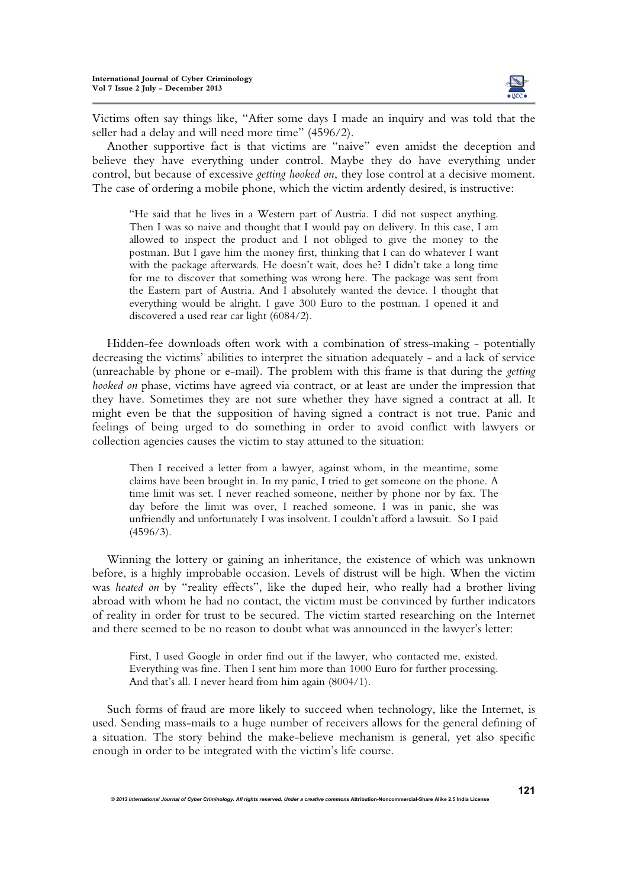

Victims often say things like, "After some days I made an inquiry and was told that the seller had a delay and will need more time" (4596/2).

Another supportive fact is that victims are "naive" even amidst the deception and believe they have everything under control. Maybe they do have everything under control, but because of excessive *getting hooked on*, they lose control at a decisive moment. The case of ordering a mobile phone, which the victim ardently desired, is instructive:

"He said that he lives in a Western part of Austria. I did not suspect anything. Then I was so naive and thought that I would pay on delivery. In this case, I am allowed to inspect the product and I not obliged to give the money to the postman. But I gave him the money first, thinking that I can do whatever I want with the package afterwards. He doesn't wait, does he? I didn't take a long time for me to discover that something was wrong here. The package was sent from the Eastern part of Austria. And I absolutely wanted the device. I thought that everything would be alright. I gave 300 Euro to the postman. I opened it and discovered a used rear car light (6084/2).

Hidden-fee downloads often work with a combination of stress-making - potentially decreasing the victims' abilities to interpret the situation adequately - and a lack of service (unreachable by phone or e-mail). The problem with this frame is that during the *getting hooked on* phase, victims have agreed via contract, or at least are under the impression that they have. Sometimes they are not sure whether they have signed a contract at all. It might even be that the supposition of having signed a contract is not true. Panic and feelings of being urged to do something in order to avoid conflict with lawyers or collection agencies causes the victim to stay attuned to the situation:

Then I received a letter from a lawyer, against whom, in the meantime, some claims have been brought in. In my panic, I tried to get someone on the phone. A time limit was set. I never reached someone, neither by phone nor by fax. The day before the limit was over, I reached someone. I was in panic, she was unfriendly and unfortunately I was insolvent. I couldn't afford a lawsuit. So I paid  $(4596/3)$ .

Winning the lottery or gaining an inheritance, the existence of which was unknown before, is a highly improbable occasion. Levels of distrust will be high. When the victim was *heated on* by "reality effects", like the duped heir, who really had a brother living abroad with whom he had no contact, the victim must be convinced by further indicators of reality in order for trust to be secured. The victim started researching on the Internet and there seemed to be no reason to doubt what was announced in the lawyer's letter:

First, I used Google in order find out if the lawyer, who contacted me, existed. Everything was fine. Then I sent him more than 1000 Euro for further processing. And that's all. I never heard from him again (8004/1).

Such forms of fraud are more likely to succeed when technology, like the Internet, is used. Sending mass-mails to a huge number of receivers allows for the general defining of a situation. The story behind the make-believe mechanism is general, yet also specific enough in order to be integrated with the victim's life course.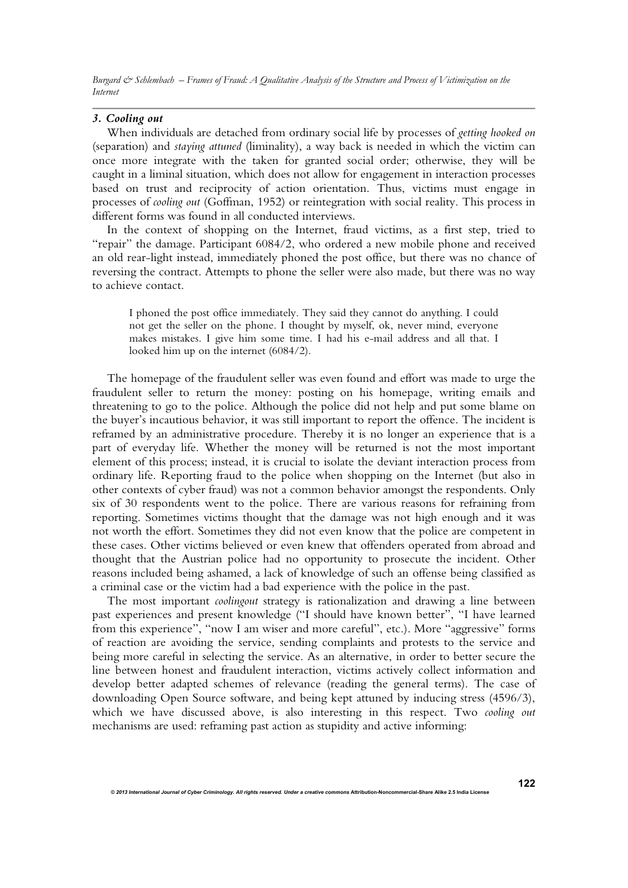#### *3. Cooling out*

When individuals are detached from ordinary social life by processes of *getting hooked on*  (separation) and *staying attuned* (liminality), a way back is needed in which the victim can once more integrate with the taken for granted social order; otherwise, they will be caught in a liminal situation, which does not allow for engagement in interaction processes based on trust and reciprocity of action orientation. Thus, victims must engage in processes of *cooling out* (Goffman, 1952) or reintegration with social reality. This process in different forms was found in all conducted interviews.

In the context of shopping on the Internet, fraud victims, as a first step, tried to "repair" the damage. Participant 6084/2, who ordered a new mobile phone and received an old rear-light instead, immediately phoned the post office, but there was no chance of reversing the contract. Attempts to phone the seller were also made, but there was no way to achieve contact.

I phoned the post office immediately. They said they cannot do anything. I could not get the seller on the phone. I thought by myself, ok, never mind, everyone makes mistakes. I give him some time. I had his e-mail address and all that. I looked him up on the internet (6084/2).

The homepage of the fraudulent seller was even found and effort was made to urge the fraudulent seller to return the money: posting on his homepage, writing emails and threatening to go to the police. Although the police did not help and put some blame on the buyer's incautious behavior, it was still important to report the offence. The incident is reframed by an administrative procedure. Thereby it is no longer an experience that is a part of everyday life. Whether the money will be returned is not the most important element of this process; instead, it is crucial to isolate the deviant interaction process from ordinary life. Reporting fraud to the police when shopping on the Internet (but also in other contexts of cyber fraud) was not a common behavior amongst the respondents. Only six of 30 respondents went to the police. There are various reasons for refraining from reporting. Sometimes victims thought that the damage was not high enough and it was not worth the effort. Sometimes they did not even know that the police are competent in these cases. Other victims believed or even knew that offenders operated from abroad and thought that the Austrian police had no opportunity to prosecute the incident. Other reasons included being ashamed, a lack of knowledge of such an offense being classified as a criminal case or the victim had a bad experience with the police in the past.

The most important *coolingout* strategy is rationalization and drawing a line between past experiences and present knowledge ("I should have known better", "I have learned from this experience", "now I am wiser and more careful", etc.). More "aggressive" forms of reaction are avoiding the service, sending complaints and protests to the service and being more careful in selecting the service. As an alternative, in order to better secure the line between honest and fraudulent interaction, victims actively collect information and develop better adapted schemes of relevance (reading the general terms). The case of downloading Open Source software, and being kept attuned by inducing stress (4596/3), which we have discussed above, is also interesting in this respect. Two *cooling out* mechanisms are used: reframing past action as stupidity and active informing: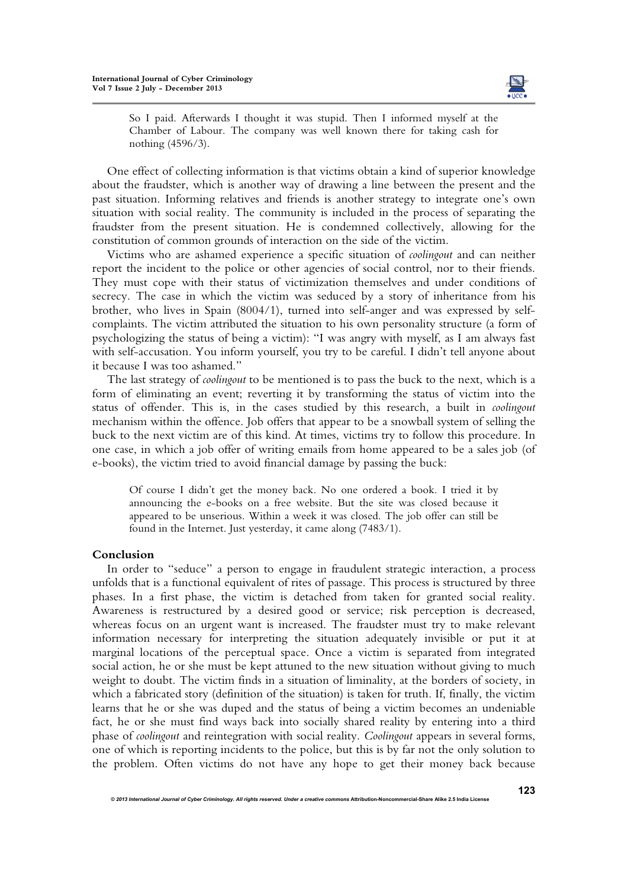

So I paid. Afterwards I thought it was stupid. Then I informed myself at the Chamber of Labour. The company was well known there for taking cash for nothing (4596/3).

One effect of collecting information is that victims obtain a kind of superior knowledge about the fraudster, which is another way of drawing a line between the present and the past situation. Informing relatives and friends is another strategy to integrate one's own situation with social reality. The community is included in the process of separating the fraudster from the present situation. He is condemned collectively, allowing for the constitution of common grounds of interaction on the side of the victim.

Victims who are ashamed experience a specific situation of *coolingout* and can neither report the incident to the police or other agencies of social control, nor to their friends. They must cope with their status of victimization themselves and under conditions of secrecy. The case in which the victim was seduced by a story of inheritance from his brother, who lives in Spain (8004/1), turned into self-anger and was expressed by selfcomplaints. The victim attributed the situation to his own personality structure (a form of psychologizing the status of being a victim): "I was angry with myself, as I am always fast with self-accusation. You inform yourself, you try to be careful. I didn't tell anyone about it because I was too ashamed."

The last strategy of *coolingout* to be mentioned is to pass the buck to the next, which is a form of eliminating an event; reverting it by transforming the status of victim into the status of offender. This is, in the cases studied by this research, a built in *coolingout* mechanism within the offence. Job offers that appear to be a snowball system of selling the buck to the next victim are of this kind. At times, victims try to follow this procedure. In one case, in which a job offer of writing emails from home appeared to be a sales job (of e-books), the victim tried to avoid financial damage by passing the buck:

Of course I didn't get the money back. No one ordered a book. I tried it by announcing the e-books on a free website. But the site was closed because it appeared to be unserious. Within a week it was closed. The job offer can still be found in the Internet. Just yesterday, it came along (7483/1).

## **Conclusion**

In order to "seduce" a person to engage in fraudulent strategic interaction, a process unfolds that is a functional equivalent of rites of passage. This process is structured by three phases. In a first phase, the victim is detached from taken for granted social reality. Awareness is restructured by a desired good or service; risk perception is decreased, whereas focus on an urgent want is increased. The fraudster must try to make relevant information necessary for interpreting the situation adequately invisible or put it at marginal locations of the perceptual space. Once a victim is separated from integrated social action, he or she must be kept attuned to the new situation without giving to much weight to doubt. The victim finds in a situation of liminality, at the borders of society, in which a fabricated story (definition of the situation) is taken for truth. If, finally, the victim learns that he or she was duped and the status of being a victim becomes an undeniable fact, he or she must find ways back into socially shared reality by entering into a third phase of *coolingout* and reintegration with social reality. *Coolingout* appears in several forms, one of which is reporting incidents to the police, but this is by far not the only solution to the problem. Often victims do not have any hope to get their money back because